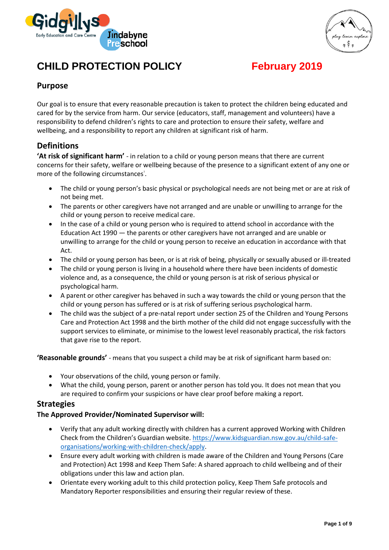



# **CHILD PROTECTION POLICY February 2019**

# **Purpose**

Our goal is to ensure that every reasonable precaution is taken to protect the children being educated and cared for by the service from harm. Our service (educators, staff, management and volunteers) have a responsibility to defend children's rights to care and protection to ensure their safety, welfare and wellbeing, and a responsibility to report any children at significant risk of harm.

# **Definitions**

**'At risk of significant harm'** - in relation to a child or young person means that there are current concerns for their safety, welfare or wellbeing because of the presence to a significant extent of any one or more of the following circumstances<sup>1</sup>.

- The child or young person's basic physical or psychological needs are not being met or are at risk of not being met.
- The parents or other caregivers have not arranged and are unable or unwilling to arrange for the child or young person to receive medical care.
- In the case of a child or young person who is required to attend school in accordance with the Education Act 1990 — the parents or other caregivers have not arranged and are unable or unwilling to arrange for the child or young person to receive an education in accordance with that Act.
- The child or young person has been, or is at risk of being, physically or sexually abused or ill-treated
- The child or young person is living in a household where there have been incidents of domestic violence and, as a consequence, the child or young person is at risk of serious physical or psychological harm.
- A parent or other caregiver has behaved in such a way towards the child or young person that the child or young person has suffered or is at risk of suffering serious psychological harm.
- The child was the subject of a pre-natal report under section 25 of the Children and Young Persons Care and Protection Act 1998 and the birth mother of the child did not engage successfully with the support services to eliminate, or minimise to the lowest level reasonably practical, the risk factors that gave rise to the report.

**'Reasonable grounds'** - means that you suspect a child may be at risk of significant harm based on:

- Your observations of the child, young person or family.
- What the child, young person, parent or another person has told you. It does not mean that you are required to confirm your suspicions or have clear proof before making a report.

#### **Strategies**

#### **The Approved Provider/Nominated Supervisor will:**

- Verify that any adult working directly with children has a current approved Working with Children Check from the Children's Guardian website. [https://www.kidsguardian.nsw.gov.au/child-safe](https://www.kidsguardian.nsw.gov.au/child-safe-organisations/working-with-children-check/apply)[organisations/working-with-children-check/apply.](https://www.kidsguardian.nsw.gov.au/child-safe-organisations/working-with-children-check/apply)
- Ensure every adult working with children is made aware of the Children and Young Persons (Care and Protection) Act 1998 and Keep Them Safe: A shared approach to child wellbeing and of their obligations under this law and action plan.
- Orientate every working adult to this child protection policy, Keep Them Safe protocols and Mandatory Reporter responsibilities and ensuring their regular review of these.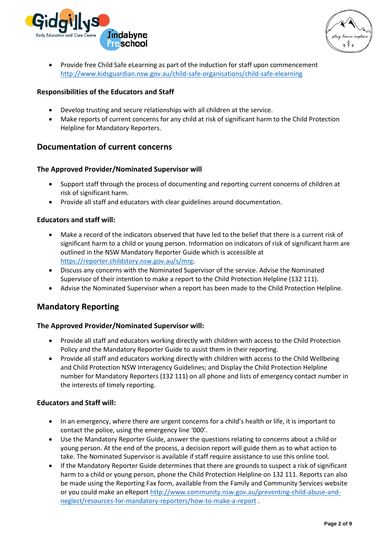

• Provide free Child Safe eLearning as part of the induction for staff upon commencement <http://www.kidsguardian.nsw.gov.au/child-safe-organisations/child-safe-elearning>

#### **Responsibilities of the Educators and Staff**

- Develop trusting and secure relationships with all children at the service.
- Make reports of current concerns for any child at risk of significant harm to the Child Protection Helpline for Mandatory Reporters.

# **Documentation of current concerns**

#### **The Approved Provider/Nominated Supervisor will**

- Support staff through the process of documenting and reporting current concerns of children at risk of significant harm.
- Provide all staff and educators with clear guidelines around documentation.

#### **Educators and staff will:**

- Make a record of the indicators observed that have led to the belief that there is a current risk of significant harm to a child or young person. Information on indicators of risk of significant harm are outlined in the NSW Mandatory Reporter Guide which is accessible at [https://reporter.childstory.nsw.gov.au/s/mrg.](https://reporter.childstory.nsw.gov.au/s/mrg)
- Discuss any concerns with the Nominated Supervisor of the service. Advise the Nominated Supervisor of their intention to make a report to the Child Protection Helpline (132 111).
- Advise the Nominated Supervisor when a report has been made to the Child Protection Helpline.

# **Mandatory Reporting**

#### **The Approved Provider/Nominated Supervisor will:**

- Provide all staff and educators working directly with children with access to the Child Protection Policy and the Mandatory Reporter Guide to assist them in their reporting.
- Provide all staff and educators working directly with children with access to the Child Wellbeing and Child Protection NSW Interagency Guidelines; and Display the Child Protection Helpline number for Mandatory Reporters (132 111) on all phone and lists of emergency contact number in the interests of timely reporting.

#### **Educators and Staff will:**

- In an emergency, where there are urgent concerns for a child's health or life, it is important to contact the police, using the emergency line '000'.
- Use the Mandatory Reporter Guide, answer the questions relating to concerns about a child or young person. At the end of the process, a decision report will guide them as to what action to take. The Nominated Supervisor is available if staff require assistance to use this online tool.
- If the Mandatory Reporter Guide determines that there are grounds to suspect a risk of significant harm to a child or young person, phone the Child Protection Helpline on 132 111. Reports can also be made using the Reporting Fax form, available from the Family and Community Services website or you could make an eReport [http://www.community.nsw.gov.au/preventing-child-abuse-and](http://www.community.nsw.gov.au/preventing-child-abuse-and-neglect/resources-for-mandatory-reporters/how-to-make-a-report)[neglect/resources-for-mandatory-reporters/how-to-make-a-report](http://www.community.nsw.gov.au/preventing-child-abuse-and-neglect/resources-for-mandatory-reporters/how-to-make-a-report) .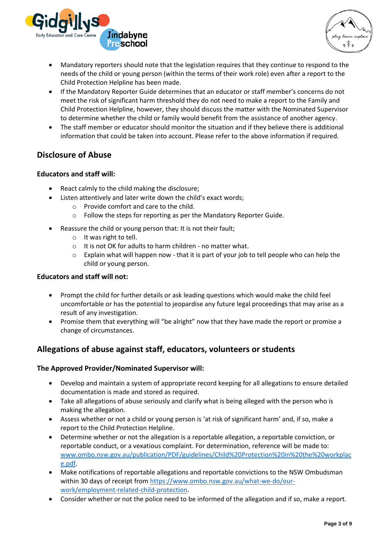



- Mandatory reporters should note that the legislation requires that they continue to respond to the needs of the child or young person (within the terms of their work role) even after a report to the Child Protection Helpline has been made.
- If the Mandatory Reporter Guide determines that an educator or staff member's concerns do not meet the risk of significant harm threshold they do not need to make a report to the Family and Child Protection Helpline, however, they should discuss the matter with the Nominated Supervisor to determine whether the child or family would benefit from the assistance of another agency.
- The staff member or educator should monitor the situation and if they believe there is additional information that could be taken into account. Please refer to the above information if required.

# **Disclosure of Abuse**

#### **Educators and staff will:**

- React calmly to the child making the disclosure;
- Listen attentively and later write down the child's exact words;
	- o Provide comfort and care to the child.
	- o Follow the steps for reporting as per the Mandatory Reporter Guide.
- Reassure the child or young person that: It is not their fault;
	- o It was right to tell.
	- o It is not OK for adults to harm children no matter what.
	- $\circ$  Explain what will happen now that it is part of your job to tell people who can help the child or young person.

#### **Educators and staff will not:**

- Prompt the child for further details or ask leading questions which would make the child feel uncomfortable or has the potential to jeopardise any future legal proceedings that may arise as a result of any investigation.
- Promise them that everything will "be alright" now that they have made the report or promise a change of circumstances.

# **Allegations of abuse against staff, educators, volunteers or students**

#### **The Approved Provider/Nominated Supervisor will:**

- Develop and maintain a system of appropriate record keeping for all allegations to ensure detailed documentation is made and stored as required.
- Take all allegations of abuse seriously and clarify what is being alleged with the person who is making the allegation.
- Assess whether or not a child or young person is 'at risk of significant harm' and, if so, make a report to the Child Protection Helpline.
- Determine whether or not the allegation is a reportable allegation, a reportable conviction, or reportable conduct, or a vexatious complaint. For determination, reference will be made to: [www.ombo.nsw.gov.au/publication/PDF/guidelines/Child%20Protection%20in%20the%20workplac](http://www.ombo.nsw.gov.au/publication/PDF/guidelines/Child%20Protection%20in%20the%20workplace.pdf) [e.pdf.](http://www.ombo.nsw.gov.au/publication/PDF/guidelines/Child%20Protection%20in%20the%20workplace.pdf)
- Make notifications of reportable allegations and reportable convictions to the NSW Ombudsman within 30 days of receipt fro[m https://www.ombo.nsw.gov.au/what-we-do/our](https://www.ombo.nsw.gov.au/what-we-do/our-work/employment-related-child-protection)[work/employment-related-child-protection.](https://www.ombo.nsw.gov.au/what-we-do/our-work/employment-related-child-protection)
- Consider whether or not the police need to be informed of the allegation and if so, make a report.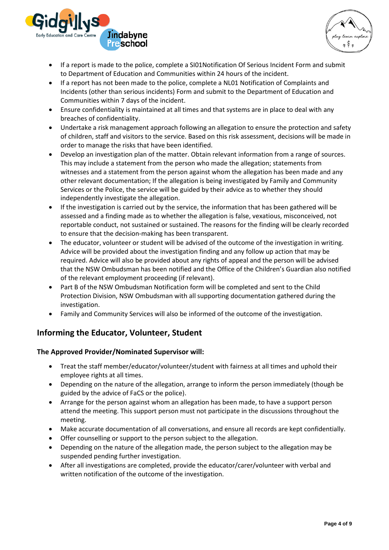



- If a report is made to the police, complete a SI01Notification Of Serious Incident Form and submit to Department of Education and Communities within 24 hours of the incident.
- If a report has not been made to the police, complete a NL01 Notification of Complaints and Incidents (other than serious incidents) Form and submit to the Department of Education and Communities within 7 days of the incident.
- Ensure confidentiality is maintained at all times and that systems are in place to deal with any breaches of confidentiality.
- Undertake a risk management approach following an allegation to ensure the protection and safety of children, staff and visitors to the service. Based on this risk assessment, decisions will be made in order to manage the risks that have been identified.
- Develop an investigation plan of the matter. Obtain relevant information from a range of sources. This may include a statement from the person who made the allegation; statements from witnesses and a statement from the person against whom the allegation has been made and any other relevant documentation; If the allegation is being investigated by Family and Community Services or the Police, the service will be guided by their advice as to whether they should independently investigate the allegation.
- If the investigation is carried out by the service, the information that has been gathered will be assessed and a finding made as to whether the allegation is false, vexatious, misconceived, not reportable conduct, not sustained or sustained. The reasons for the finding will be clearly recorded to ensure that the decision-making has been transparent.
- The educator, volunteer or student will be advised of the outcome of the investigation in writing. Advice will be provided about the investigation finding and any follow up action that may be required. Advice will also be provided about any rights of appeal and the person will be advised that the NSW Ombudsman has been notified and the Office of the Children's Guardian also notified of the relevant employment proceeding (if relevant).
- Part B of the NSW Ombudsman Notification form will be completed and sent to the Child Protection Division, NSW Ombudsman with all supporting documentation gathered during the investigation.
- Family and Community Services will also be informed of the outcome of the investigation.

# **Informing the Educator, Volunteer, Student**

#### **The Approved Provider/Nominated Supervisor will:**

- Treat the staff member/educator/volunteer/student with fairness at all times and uphold their employee rights at all times.
- Depending on the nature of the allegation, arrange to inform the person immediately (though be guided by the advice of FaCS or the police).
- Arrange for the person against whom an allegation has been made, to have a support person attend the meeting. This support person must not participate in the discussions throughout the meeting.
- Make accurate documentation of all conversations, and ensure all records are kept confidentially.
- Offer counselling or support to the person subject to the allegation.
- Depending on the nature of the allegation made, the person subject to the allegation may be suspended pending further investigation.
- After all investigations are completed, provide the educator/carer/volunteer with verbal and written notification of the outcome of the investigation.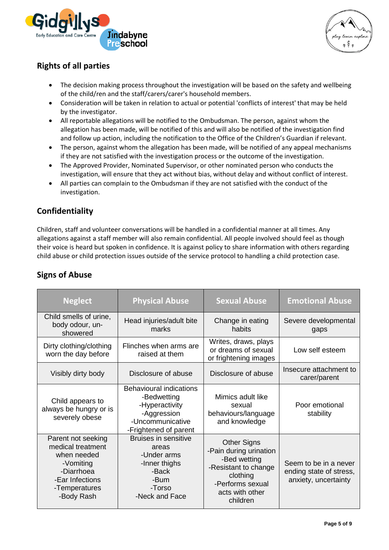



# **Rights of all parties**

- The decision making process throughout the investigation will be based on the safety and wellbeing of the child/ren and the staff/carers/carer's household members.
- Consideration will be taken in relation to actual or potential 'conflicts of interest' that may be held by the investigator.
- All reportable allegations will be notified to the Ombudsman. The person, against whom the allegation has been made, will be notified of this and will also be notified of the investigation find and follow up action, including the notification to the Office of the Children's Guardian if relevant.
- The person, against whom the allegation has been made, will be notified of any appeal mechanisms if they are not satisfied with the investigation process or the outcome of the investigation.
- The Approved Provider, Nominated Supervisor, or other nominated person who conducts the investigation, will ensure that they act without bias, without delay and without conflict of interest.
- All parties can complain to the Ombudsman if they are not satisfied with the conduct of the investigation.

# **Confidentiality**

Children, staff and volunteer conversations will be handled in a confidential manner at all times. Any allegations against a staff member will also remain confidential. All people involved should feel as though their voice is heard but spoken in confidence. It is against policy to share information with others regarding child abuse or child protection issues outside of the service protocol to handling a child protection case.

| <b>Neglect</b>                                                                                                                      | <b>Physical Abuse</b>                                                                                                       | <b>Sexual Abuse</b>                                                                                                                                 | <b>Emotional Abuse</b>                                                   |
|-------------------------------------------------------------------------------------------------------------------------------------|-----------------------------------------------------------------------------------------------------------------------------|-----------------------------------------------------------------------------------------------------------------------------------------------------|--------------------------------------------------------------------------|
| Child smells of urine,<br>body odour, un-<br>showered                                                                               | Head injuries/adult bite<br>marks                                                                                           | Change in eating<br>habits                                                                                                                          | Severe developmental<br>gaps                                             |
| Dirty clothing/clothing<br>worn the day before                                                                                      | Flinches when arms are<br>raised at them                                                                                    | Writes, draws, plays<br>or dreams of sexual<br>or frightening images                                                                                | Low self esteem                                                          |
| Visibly dirty body                                                                                                                  | Disclosure of abuse                                                                                                         | Disclosure of abuse                                                                                                                                 | Insecure attachment to<br>carer/parent                                   |
| Child appears to<br>always be hungry or is<br>severely obese                                                                        | <b>Behavioural indications</b><br>-Bedwetting<br>-Hyperactivity<br>-Aggression<br>-Uncommunicative<br>-Frightened of parent | Mimics adult like<br>sexual<br>behaviours/language<br>and knowledge                                                                                 | Poor emotional<br>stability                                              |
| Parent not seeking<br>medical treatment<br>when needed<br>-Vomiting<br>-Diarrhoea<br>-Ear Infections<br>-Temperatures<br>-Body Rash | <b>Bruises in sensitive</b><br>areas<br>-Under arms<br>-Inner thighs<br>-Back<br>-Bum<br>-Torso<br>-Neck and Face           | <b>Other Signs</b><br>-Pain during urination<br>-Bed wetting<br>-Resistant to change<br>clothing<br>-Performs sexual<br>acts with other<br>children | Seem to be in a never<br>ending state of stress,<br>anxiety, uncertainty |

# **Signs of Abuse**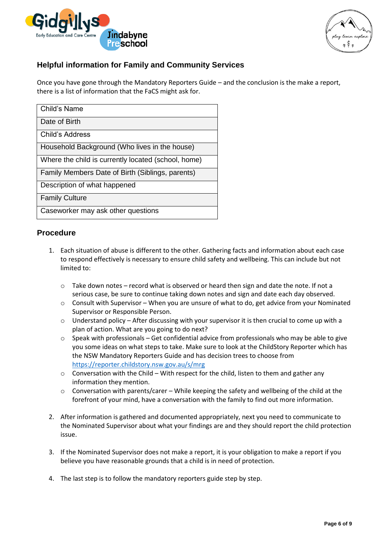

# **Helpful information for Family and Community Services**

Once you have gone through the Mandatory Reporters Guide – and the conclusion is the make a report, there is a list of information that the FaCS might ask for.

| Child's Name                                        |
|-----------------------------------------------------|
| Date of Birth                                       |
| Child's Address                                     |
| Household Background (Who lives in the house)       |
| Where the child is currently located (school, home) |
| Family Members Date of Birth (Siblings, parents)    |
| Description of what happened                        |
| <b>Family Culture</b>                               |
| Caseworker may ask other questions                  |

#### **Procedure**

- 1. Each situation of abuse is different to the other. Gathering facts and information about each case to respond effectively is necessary to ensure child safety and wellbeing. This can include but not limited to:
	- o Take down notes record what is observed or heard then sign and date the note. If not a serious case, be sure to continue taking down notes and sign and date each day observed.
	- o Consult with Supervisor When you are unsure of what to do, get advice from your Nominated Supervisor or Responsible Person.
	- $\circ$  Understand policy After discussing with your supervisor it is then crucial to come up with a plan of action. What are you going to do next?
	- o Speak with professionals Get confidential advice from professionals who may be able to give you some ideas on what steps to take. Make sure to look at the ChildStory Reporter which has the NSW Mandatory Reporters Guide and has decision trees to choose from <https://reporter.childstory.nsw.gov.au/s/mrg>
	- $\circ$  Conversation with the Child With respect for the child, listen to them and gather any information they mention.
	- o Conversation with parents/carer While keeping the safety and wellbeing of the child at the forefront of your mind, have a conversation with the family to find out more information.
- 2. After information is gathered and documented appropriately, next you need to communicate to the Nominated Supervisor about what your findings are and they should report the child protection issue.
- 3. If the Nominated Supervisor does not make a report, it is your obligation to make a report if you believe you have reasonable grounds that a child is in need of protection.
- 4. The last step is to follow the mandatory reporters guide step by step.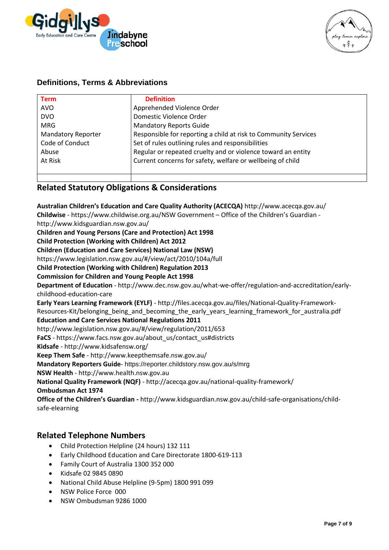

#### **Definitions, Terms & Abbreviations**

| <b>Definition</b>                                               |
|-----------------------------------------------------------------|
| Apprehended Violence Order                                      |
| Domestic Violence Order                                         |
| <b>Mandatory Reports Guide</b>                                  |
| Responsible for reporting a child at risk to Community Services |
| Set of rules outlining rules and responsibilities               |
| Regular or repeated cruelty and or violence toward an entity    |
| Current concerns for safety, welfare or wellbeing of child      |
|                                                                 |
|                                                                 |

### **Related Statutory Obligations & Considerations**

**Australian Children's Education and Care Quality Authority (ACECQA)** http://www.acecqa.gov.au/ **Childwise** - https://www.childwise.org.au/NSW Government – Office of the Children's Guardian http://www.kidsguardian.nsw.gov.au/ **Children and Young Persons (Care and Protection) Act 1998 Child Protection (Working with Children) Act 2012 Children (Education and Care Services) National Law (NSW)** https://www.legislation.nsw.gov.au/#/view/act/2010/104a/full **Child Protection (Working with Children) Regulation 2013 Commission for Children and Young People Act 1998 Department of Education** - http://www.dec.nsw.gov.au/what-we-offer/regulation-and-accreditation/earlychildhood-education-care **Early Years Learning Framework (EYLF)** - http://files.acecqa.gov.au/files/National-Quality-Framework-Resources-Kit/belonging\_being\_and\_becoming\_the\_early\_years\_learning\_framework\_for\_australia.pdf **Education and Care Services National Regulations 2011**  http://www.legislation.nsw.gov.au/#/view/regulation/2011/653 **FaCS** - https://www.facs.nsw.gov.au/about\_us/contact\_us#districts **Kidsafe** - http://www.kidsafensw.org/ **Keep Them Safe** - http://www.keepthemsafe.nsw.gov.au/ **Mandatory Reporters Guide**- https://reporter.childstory.nsw.gov.au/s/mrg **NSW Health** - http://www.health.nsw.gov.au **National Quality Framework (NQF)** - http://acecqa.gov.au/national-quality-framework/ **Ombudsman Act 1974 Office of the Children's Guardian -** http://www.kidsguardian.nsw.gov.au/child-safe-organisations/childsafe-elearning

#### **Related Telephone Numbers**

- Child Protection Helpline (24 hours) 132 111
- Early Childhood Education and Care Directorate 1800-619-113
- Family Court of Australia 1300 352 000
- Kidsafe 02 9845 0890
- National Child Abuse Helpline (9-5pm) 1800 991 099
- NSW Police Force 000
- NSW Ombudsman 9286 1000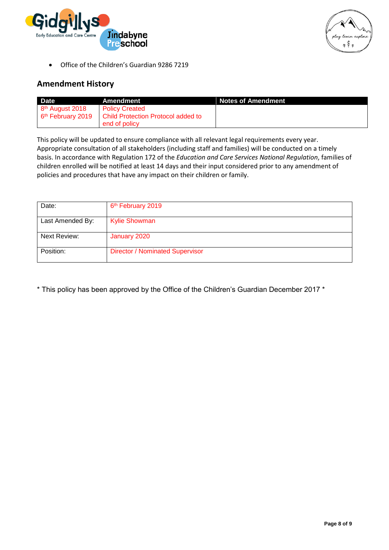



• Office of the Children's Guardian 9286 7219

### **Amendment History**

| <b>Date</b>         | Amendment                          | <b>Notes of Amendment</b> |  |
|---------------------|------------------------------------|---------------------------|--|
| $8th$ August 2018   | <b>Policy Created</b>              |                           |  |
| $6th$ February 2019 | Child Protection Protocol added to |                           |  |
|                     | end of policy                      |                           |  |

This policy will be updated to ensure compliance with all relevant legal requirements every year. Appropriate consultation of all stakeholders (including staff and families) will be conducted on a timely basis. In accordance with Regulation 172 of the *Education and Care Services National Regulation*, families of children enrolled will be notified at least 14 days and their input considered prior to any amendment of policies and procedures that have any impact on their children or family.

| Date:            | 6 <sup>th</sup> February 2019          |
|------------------|----------------------------------------|
| Last Amended By: | <b>Kylie Showman</b>                   |
| Next Review:     | January 2020                           |
| Position:        | <b>Director / Nominated Supervisor</b> |

\* This policy has been approved by the Office of the Children's Guardian December 2017 \*